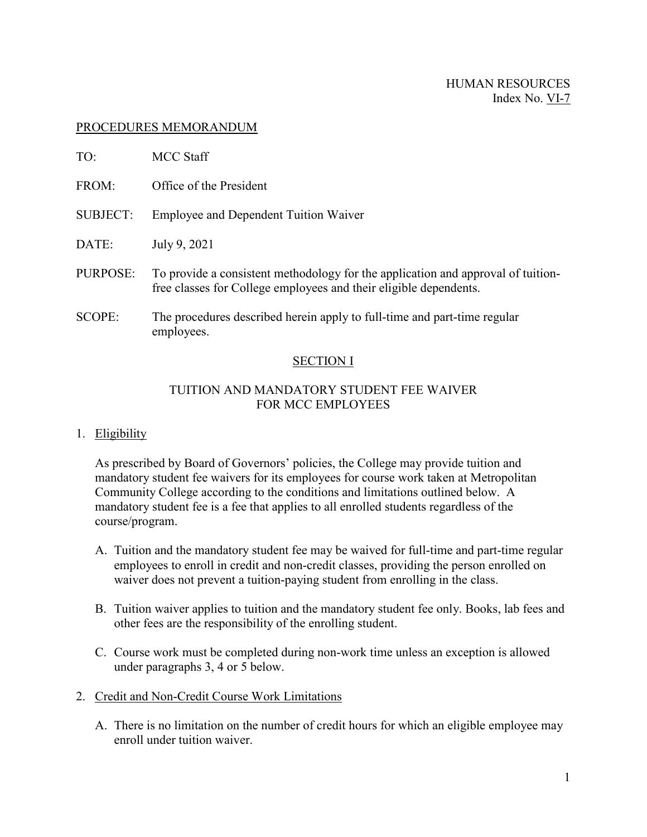#### HUMAN RESOURCES Index No. VI-7

### PROCEDURES MEMORANDUM

| TO:             | MCC Staff                                                                                                                                             |
|-----------------|-------------------------------------------------------------------------------------------------------------------------------------------------------|
| FROM:           | Office of the President                                                                                                                               |
| <b>SUBJECT:</b> | <b>Employee and Dependent Tuition Waiver</b>                                                                                                          |
| DATE:           | July 9, 2021                                                                                                                                          |
| PURPOSE:        | To provide a consistent methodology for the application and approval of tuition-<br>free classes for College employees and their eligible dependents. |
| <b>SCOPE:</b>   | The procedures described herein apply to full-time and part-time regular<br>employees.                                                                |

### SECTION I

### TUITION AND MANDATORY STUDENT FEE WAIVER FOR MCC EMPLOYEES

#### 1. Eligibility

As prescribed by Board of Governors' policies, the College may provide tuition and mandatory student fee waivers for its employees for course work taken at Metropolitan Community College according to the conditions and limitations outlined below. A mandatory student fee is a fee that applies to all enrolled students regardless of the course/program.

- A. Tuition and the mandatory student fee may be waived for full-time and part-time regular employees to enroll in credit and non-credit classes, providing the person enrolled on waiver does not prevent a tuition-paying student from enrolling in the class.
- B. Tuition waiver applies to tuition and the mandatory student fee only. Books, lab fees and other fees are the responsibility of the enrolling student.
- C. Course work must be completed during non-work time unless an exception is allowed under paragraphs 3, 4 or 5 below.
- 2. Credit and Non-Credit Course Work Limitations
	- A. There is no limitation on the number of credit hours for which an eligible employee may enroll under tuition waiver.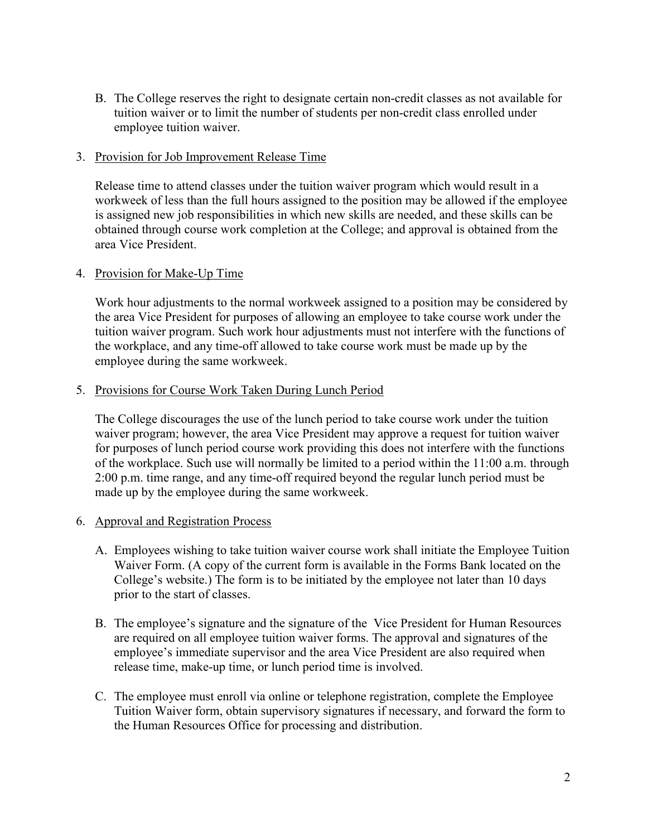B. The College reserves the right to designate certain non-credit classes as not available for tuition waiver or to limit the number of students per non-credit class enrolled under employee tuition waiver.

#### 3. Provision for Job Improvement Release Time

Release time to attend classes under the tuition waiver program which would result in a workweek of less than the full hours assigned to the position may be allowed if the employee is assigned new job responsibilities in which new skills are needed, and these skills can be obtained through course work completion at the College; and approval is obtained from the area Vice President.

### 4. Provision for Make-Up Time

Work hour adjustments to the normal workweek assigned to a position may be considered by the area Vice President for purposes of allowing an employee to take course work under the tuition waiver program. Such work hour adjustments must not interfere with the functions of the workplace, and any time-off allowed to take course work must be made up by the employee during the same workweek.

### 5. Provisions for Course Work Taken During Lunch Period

The College discourages the use of the lunch period to take course work under the tuition waiver program; however, the area Vice President may approve a request for tuition waiver for purposes of lunch period course work providing this does not interfere with the functions of the workplace. Such use will normally be limited to a period within the 11:00 a.m. through 2:00 p.m. time range, and any time-off required beyond the regular lunch period must be made up by the employee during the same workweek.

### 6. Approval and Registration Process

- A. Employees wishing to take tuition waiver course work shall initiate the Employee Tuition Waiver Form. (A copy of the current form is available in the Forms Bank located on the College's website.) The form is to be initiated by the employee not later than 10 days prior to the start of classes.
- B. The employee's signature and the signature of the Vice President for Human Resources are required on all employee tuition waiver forms. The approval and signatures of the employee's immediate supervisor and the area Vice President are also required when release time, make-up time, or lunch period time is involved.
- C. The employee must enroll via online or telephone registration, complete the Employee Tuition Waiver form, obtain supervisory signatures if necessary, and forward the form to the Human Resources Office for processing and distribution.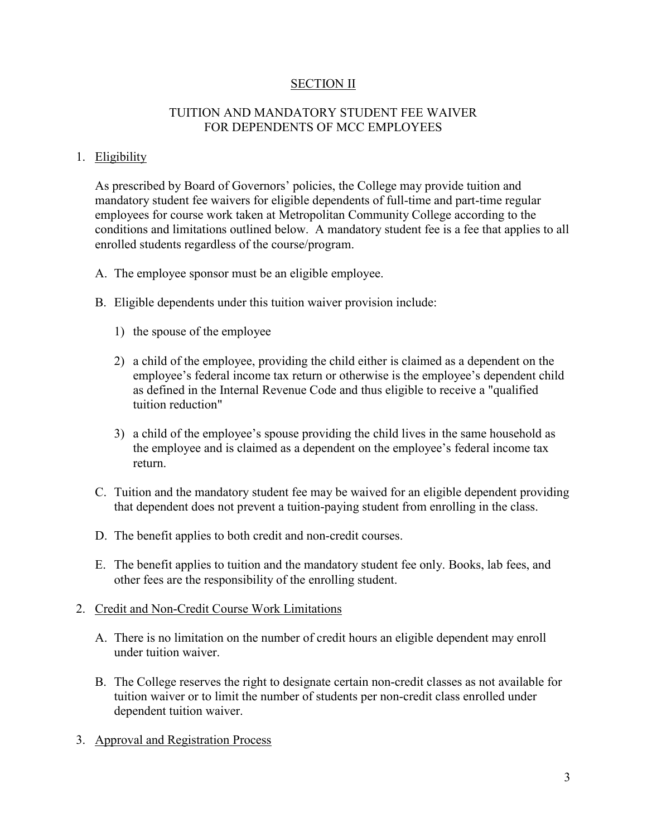### **SECTION II**

### TUITION AND MANDATORY STUDENT FEE WAIVER FOR DEPENDENTS OF MCC EMPLOYEES

#### 1. Eligibility

As prescribed by Board of Governors' policies, the College may provide tuition and mandatory student fee waivers for eligible dependents of full-time and part-time regular employees for course work taken at Metropolitan Community College according to the conditions and limitations outlined below. A mandatory student fee is a fee that applies to all enrolled students regardless of the course/program.

- A. The employee sponsor must be an eligible employee.
- B. Eligible dependents under this tuition waiver provision include:
	- 1) the spouse of the employee
	- 2) a child of the employee, providing the child either is claimed as a dependent on the employee's federal income tax return or otherwise is the employee's dependent child as defined in the Internal Revenue Code and thus eligible to receive a "qualified tuition reduction"
	- 3) a child of the employee's spouse providing the child lives in the same household as the employee and is claimed as a dependent on the employee's federal income tax return.
- C. Tuition and the mandatory student fee may be waived for an eligible dependent providing that dependent does not prevent a tuition-paying student from enrolling in the class.
- D. The benefit applies to both credit and non-credit courses.
- E. The benefit applies to tuition and the mandatory student fee only. Books, lab fees, and other fees are the responsibility of the enrolling student.

#### 2. Credit and Non-Credit Course Work Limitations

- A. There is no limitation on the number of credit hours an eligible dependent may enroll under tuition waiver.
- B. The College reserves the right to designate certain non-credit classes as not available for tuition waiver or to limit the number of students per non-credit class enrolled under dependent tuition waiver.
- 3. Approval and Registration Process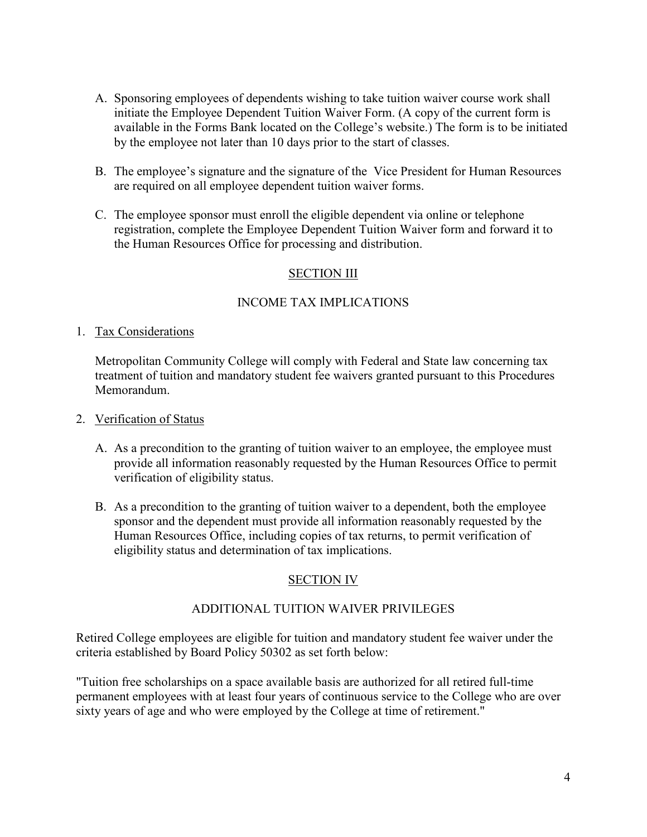- A. Sponsoring employees of dependents wishing to take tuition waiver course work shall initiate the Employee Dependent Tuition Waiver Form. (A copy of the current form is available in the Forms Bank located on the College's website.) The form is to be initiated by the employee not later than 10 days prior to the start of classes.
- B. The employee's signature and the signature of the Vice President for Human Resources are required on all employee dependent tuition waiver forms.
- C. The employee sponsor must enroll the eligible dependent via online or telephone registration, complete the Employee Dependent Tuition Waiver form and forward it to the Human Resources Office for processing and distribution.

## **SECTION III**

### INCOME TAX IMPLICATIONS

### 1. Tax Considerations

Metropolitan Community College will comply with Federal and State law concerning tax treatment of tuition and mandatory student fee waivers granted pursuant to this Procedures Memorandum.

#### 2. Verification of Status

- A. As a precondition to the granting of tuition waiver to an employee, the employee must provide all information reasonably requested by the Human Resources Office to permit verification of eligibility status.
- B. As a precondition to the granting of tuition waiver to a dependent, both the employee sponsor and the dependent must provide all information reasonably requested by the Human Resources Office, including copies of tax returns, to permit verification of eligibility status and determination of tax implications.

# SECTION IV

### ADDITIONAL TUITION WAIVER PRIVILEGES

Retired College employees are eligible for tuition and mandatory student fee waiver under the criteria established by Board Policy 50302 as set forth below:

"Tuition free scholarships on a space available basis are authorized for all retired full-time permanent employees with at least four years of continuous service to the College who are over sixty years of age and who were employed by the College at time of retirement."